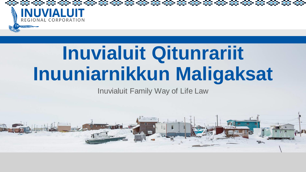

# **Inuvialuit Qitunrariit Inuuniarnikkun Maligaksat**

Inuvialuit Family Way of Life Law

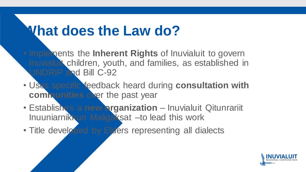### **What does the Law do?**

- Implements the **Inherent Rights** of Inuvialuit to govern Inuvialuit children, youth, and families, as established in UNDRIP and Bill C-92
- Uses specific feedback heard during **consultation with communities** over the past year
- Establishes a **new organization**  Inuvialuit Qitunrariit Inuuniarnikkun Maligaksat –to lead this work
- Title developed by Elders representing all dialects

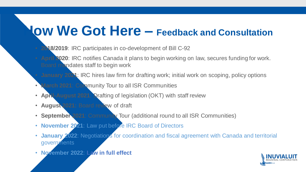### **How We Got Here – Feedback and Consultation**

- **2018/2019**: IRC participates in co-development of Bill C-92
- **April 2020**: IRC notifies Canada it plans to begin working on law, secures funding for work. Board mandates staff to begin work
	- **January 2021**: IRC hires law firm for drafting work; initial work on scoping, policy options
- **March 2021**: Community Tour to all ISR Communities
- **April-August 2021**: Drafting of legislation (OKT) with staff review
- **August 2021:** Board review of draft
- **September 2021**: Community Tour (additional round to all ISR Communities)
- **November 2021**: Law put before IRC Board of Directors
- January 2022: Negotiations for coordination and fiscal agreement with Canada and territorial governments
- **November 2022**: **Law in full effect**

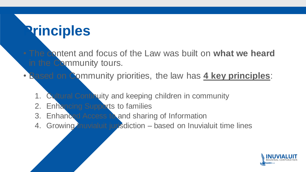### **Principles**

- The content and focus of the Law was built on **what we heard**  in the Community tours.
- Based on Community priorities, the law has **4 key principles**:
	- 1. Cultural Continuity and keeping children in community
	- 2. Enhancing Supports to families
	- 3. Enhanced Access to and sharing of Information
	- 4. Growing inuvialuit jurisdiction based on Inuvialuit time lines

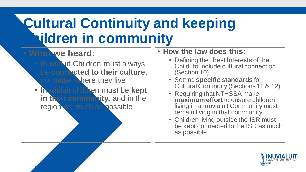# **Cultural Continuity and keeping children in community**

#### • **What we heard**:

- Inuvialuit Children must always be **connected to their culture**, no matter where they live
- Inuvialuit children must be **kept in their community,** and in the region as much as possible

#### • **How the law does this**:

- Defining the "Best Interests of the Child" to include cultural connection (Section 10)
- Setting **specific standards** for Cultural Continuity (Sections 11 & 12)
- Requiring that NTHSSA make **maximum effort** to ensure children living in a Inuvialuit Community must remain living in that community
- Children living outside the ISR must be kept connected to the ISR as much as possible

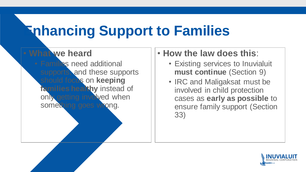# **Enhancing Support to Families**

#### • **What we heard** • Families need additional supports, and these supports should focus on **keeping families healthy** instead of only getting involved when something goes wrong.

#### • **How the law does this**:

- Existing services to Inuvialuit **must continue** (Section 9)
- IRC and Maligaksat must be involved in child protection cases as **early as possible** to ensure family support (Section 33)

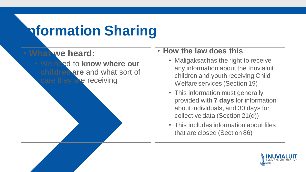# **Information Sharing**



#### • **How the law does this**

- Maligaksat has the right to receive any information about the Inuvialuit children and youth receiving Child Welfare services (Section 19)
- This information must generally provided with **7 days** for information about individuals, and 30 days for collective data (Section 21(d))
- This includes information about files that are closed (Section 86)

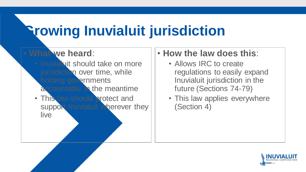# **Growing Inuvialuit jurisdiction**



#### • **How the law does this**:

- Allows IRC to create regulations to easily expand Inuvialuit jurisdiction in the future (Sections 74-79)
- This law applies everywhere (Section 4)

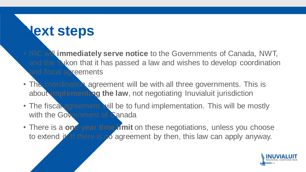### **Next steps**

- IRC will **immediately serve notice** to the Governments of Canada, NWT, and the Yukon that it has passed a law and wishes to develop coordination and fiscal acreements
- The coordination agreement will be with all three governments. This is about **implementing the law**, not negotiating Inuvialuit jurisdiction
- The fiscal agreement will be to fund implementation. This will be mostly with the Government of Canada
- There is a **one year time limit** on these negotiations, unless you choose to extend it. If there is no agreement by then, this law can apply anyway.